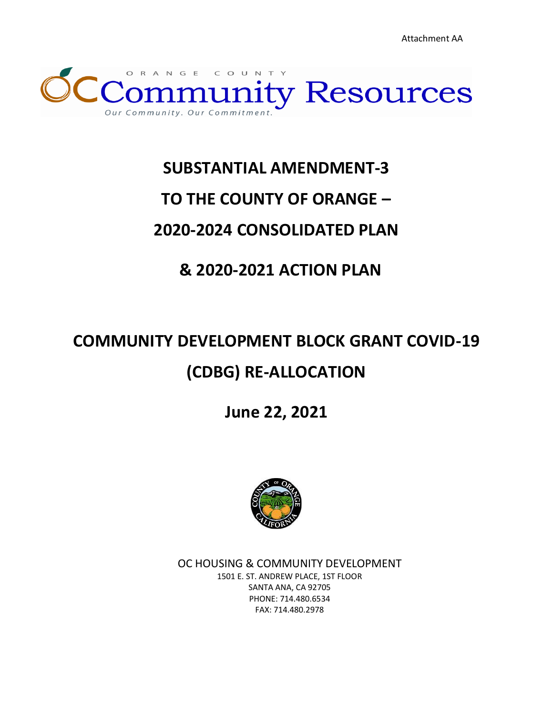Attachment AA



## **SUBSTANTIAL AMENDMENT-3**

## **TO THE COUNTY OF ORANGE –**

## **2020-2024 CONSOLIDATED PLAN**

## **& 2020-2021 ACTION PLAN**

# **COMMUNITY DEVELOPMENT BLOCK GRANT COVID-19 (CDBG) RE-ALLOCATION**

**June 22, 2021**



OC HOUSING & COMMUNITY DEVELOPMENT 1501 E. ST. ANDREW PLACE, 1ST FLOOR SANTA ANA, CA 92705 PHONE: 714.480.6534 FAX: 714.480.2978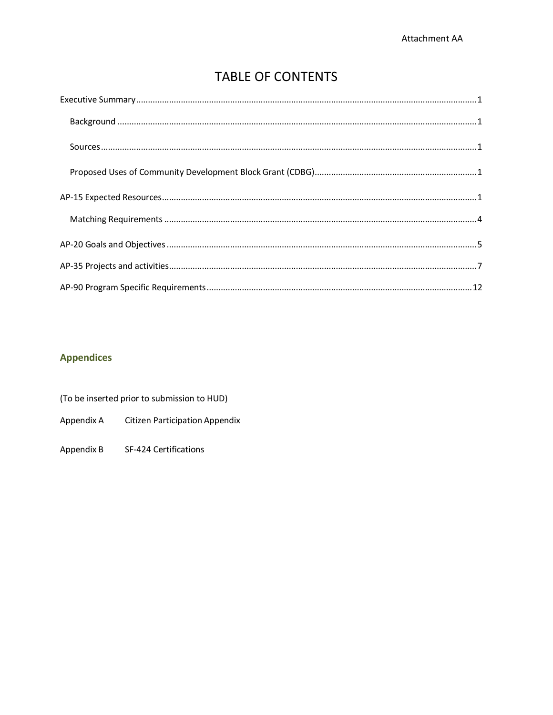### **TABLE OF CONTENTS**

<span id="page-1-0"></span>

### **Appendices**

| (To be inserted prior to submission to HUD) |                                |  |  |  |
|---------------------------------------------|--------------------------------|--|--|--|
| Appendix A                                  | Citizen Participation Appendix |  |  |  |
| Appendix B                                  | SF-424 Certifications          |  |  |  |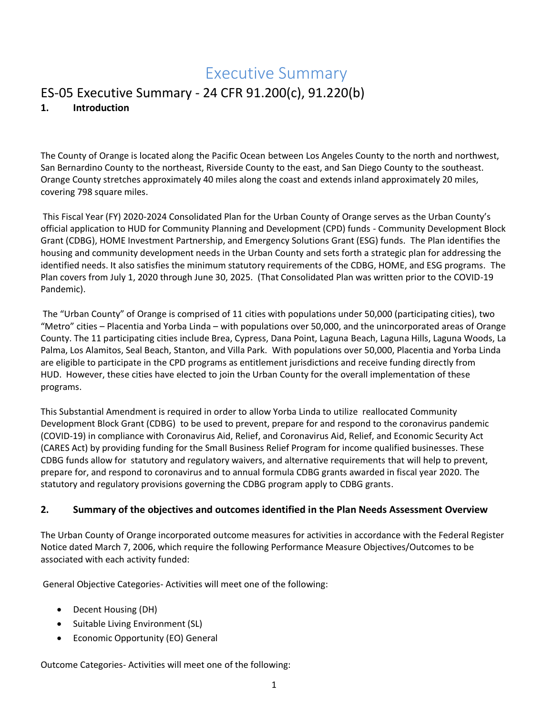## Executive Summary

### ES-05 Executive Summary - 24 CFR 91.200(c), 91.220(b) **1. Introduction**

The County of Orange is located along the Pacific Ocean between Los Angeles County to the north and northwest, San Bernardino County to the northeast, Riverside County to the east, and San Diego County to the southeast. Orange County stretches approximately 40 miles along the coast and extends inland approximately 20 miles, covering 798 square miles.

This Fiscal Year (FY) 2020-2024 Consolidated Plan for the Urban County of Orange serves as the Urban County's official application to HUD for Community Planning and Development (CPD) funds - Community Development Block Grant (CDBG), HOME Investment Partnership, and Emergency Solutions Grant (ESG) funds. The Plan identifies the housing and community development needs in the Urban County and sets forth a strategic plan for addressing the identified needs. It also satisfies the minimum statutory requirements of the CDBG, HOME, and ESG programs. The Plan covers from July 1, 2020 through June 30, 2025. (That Consolidated Plan was written prior to the COVID-19 Pandemic).

The "Urban County" of Orange is comprised of 11 cities with populations under 50,000 (participating cities), two "Metro" cities – Placentia and Yorba Linda – with populations over 50,000, and the unincorporated areas of Orange County. The 11 participating cities include Brea, Cypress, Dana Point, Laguna Beach, Laguna Hills, Laguna Woods, La Palma, Los Alamitos, Seal Beach, Stanton, and Villa Park. With populations over 50,000, Placentia and Yorba Linda are eligible to participate in the CPD programs as entitlement jurisdictions and receive funding directly from HUD. However, these cities have elected to join the Urban County for the overall implementation of these programs.

This Substantial Amendment is required in order to allow Yorba Linda to utilize reallocated Community Development Block Grant (CDBG) to be used to prevent, prepare for and respond to the coronavirus pandemic (COVID-19) in compliance with Coronavirus Aid, Relief, and Coronavirus Aid, Relief, and Economic Security Act (CARES Act) by providing funding for the Small Business Relief Program for income qualified businesses. These CDBG funds allow for statutory and regulatory waivers, and alternative requirements that will help to prevent, prepare for, and respond to coronavirus and to annual formula CDBG grants awarded in fiscal year 2020. The statutory and regulatory provisions governing the CDBG program apply to CDBG grants.

#### **2. Summary of the objectives and outcomes identified in the Plan Needs Assessment Overview**

The Urban County of Orange incorporated outcome measures for activities in accordance with the Federal Register Notice dated March 7, 2006, which require the following Performance Measure Objectives/Outcomes to be associated with each activity funded:

General Objective Categories- Activities will meet one of the following:

- Decent Housing (DH)
- Suitable Living Environment (SL)
- Economic Opportunity (EO) General

Outcome Categories- Activities will meet one of the following: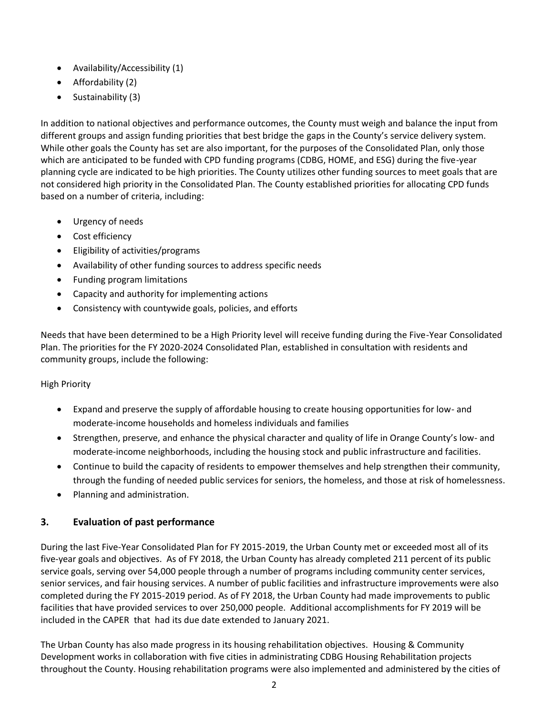- Availability/Accessibility (1)
- Affordability (2)
- Sustainability (3)

In addition to national objectives and performance outcomes, the County must weigh and balance the input from different groups and assign funding priorities that best bridge the gaps in the County's service delivery system. While other goals the County has set are also important, for the purposes of the Consolidated Plan, only those which are anticipated to be funded with CPD funding programs (CDBG, HOME, and ESG) during the five-year planning cycle are indicated to be high priorities. The County utilizes other funding sources to meet goals that are not considered high priority in the Consolidated Plan. The County established priorities for allocating CPD funds based on a number of criteria, including:

- Urgency of needs
- Cost efficiency
- Eligibility of activities/programs
- Availability of other funding sources to address specific needs
- Funding program limitations
- Capacity and authority for implementing actions
- Consistency with countywide goals, policies, and efforts

Needs that have been determined to be a High Priority level will receive funding during the Five-Year Consolidated Plan. The priorities for the FY 2020-2024 Consolidated Plan, established in consultation with residents and community groups, include the following:

#### High Priority

- Expand and preserve the supply of affordable housing to create housing opportunities for low- and moderate-income households and homeless individuals and families
- Strengthen, preserve, and enhance the physical character and quality of life in Orange County's low- and moderate-income neighborhoods, including the housing stock and public infrastructure and facilities.
- Continue to build the capacity of residents to empower themselves and help strengthen their community, through the funding of needed public services for seniors, the homeless, and those at risk of homelessness.
- Planning and administration.

#### **3. Evaluation of past performance**

During the last Five-Year Consolidated Plan for FY 2015-2019, the Urban County met or exceeded most all of its five-year goals and objectives. As of FY 2018, the Urban County has already completed 211 percent of its public service goals, serving over 54,000 people through a number of programs including community center services, senior services, and fair housing services. A number of public facilities and infrastructure improvements were also completed during the FY 2015-2019 period. As of FY 2018, the Urban County had made improvements to public facilities that have provided services to over 250,000 people. Additional accomplishments for FY 2019 will be included in the CAPER that had its due date extended to January 2021.

The Urban County has also made progress in its housing rehabilitation objectives. Housing & Community Development works in collaboration with five cities in administrating CDBG Housing Rehabilitation projects throughout the County. Housing rehabilitation programs were also implemented and administered by the cities of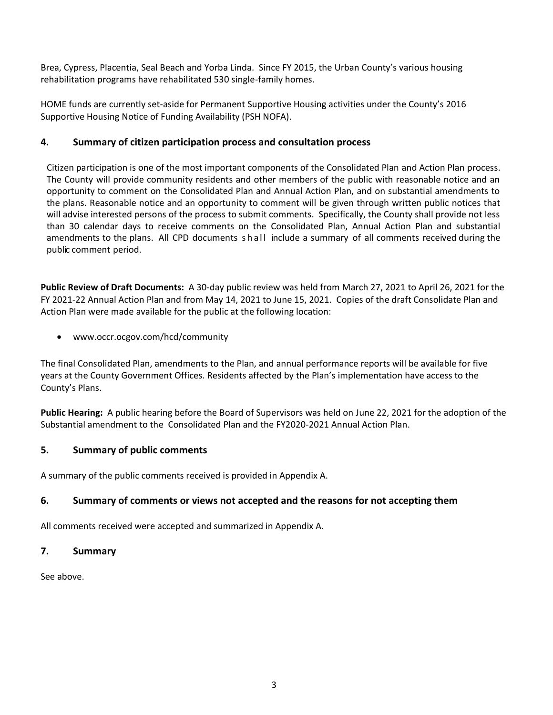Brea, Cypress, Placentia, Seal Beach and Yorba Linda. Since FY 2015, the Urban County's various housing rehabilitation programs have rehabilitated 530 single-family homes.

HOME funds are currently set-aside for Permanent Supportive Housing activities under the County's 2016 Supportive Housing Notice of Funding Availability (PSH NOFA).

#### **4. Summary of citizen participation process and consultation process**

Citizen participation is one of the most important components of the Consolidated Plan and Action Plan process. The County will provide community residents and other members of the public with reasonable notice and an opportunity to comment on the Consolidated Plan and Annual Action Plan, and on substantial amendments to the plans. Reasonable notice and an opportunity to comment will be given through written public notices that will advise interested persons of the process to submit comments. Specifically, the County shall provide not less than 30 calendar days to receive comments on the Consolidated Plan, Annual Action Plan and substantial amendments to the plans. All CPD documents shall include a summary of all comments received during the public comment period.

**Public Review of Draft Documents:** A 30-day public review was held from March 27, 2021 to April 26, 2021 for the FY 2021-22 Annual Action Plan and from May 14, 2021 to June 15, 2021. Copies of the draft Consolidate Plan and Action Plan were made available for the public at the following location:

• www.occr.ocgov.com/hcd/community

The final Consolidated Plan, amendments to the Plan, and annual performance reports will be available for five years at the County Government Offices. Residents affected by the Plan's implementation have access to the County's Plans.

**Public Hearing:** A public hearing before the Board of Supervisors was held on June 22, 2021 for the adoption of the Substantial amendment to the Consolidated Plan and the FY2020-2021 Annual Action Plan.

#### **5. Summary of public comments**

A summary of the public comments received is provided in Appendix A.

#### **6. Summary of comments or views not accepted and the reasons for not accepting them**

All comments received were accepted and summarized in Appendix A.

#### **7. Summary**

See above.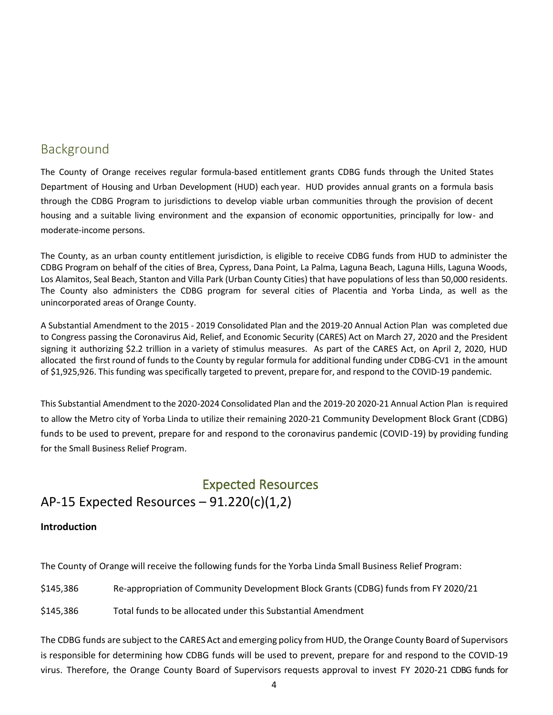### <span id="page-5-0"></span>Background

The County of Orange receives regular formula-based entitlement grants CDBG funds through the United States Department of Housing and Urban Development (HUD) each year. HUD provides annual grants on a formula basis through the CDBG Program to jurisdictions to develop viable urban communities through the provision of decent housing and a suitable living environment and the expansion of economic opportunities, principally for low- and moderate-income persons.

The County, as an urban county entitlement jurisdiction, is eligible to receive CDBG funds from HUD to administer the CDBG Program on behalf of the cities of Brea, Cypress, Dana Point, La Palma, Laguna Beach, Laguna Hills, Laguna Woods, Los Alamitos, Seal Beach, Stanton and Villa Park (Urban County Cities) that have populations of less than 50,000 residents. The County also administers the CDBG program for several cities of Placentia and Yorba Linda, as well as the unincorporated areas of Orange County.

A Substantial Amendment to the 2015 - 2019 Consolidated Plan and the 2019-20 Annual Action Plan was completed due to Congress passing the Coronavirus Aid, Relief, and Economic Security (CARES) Act on March 27, 2020 and the President signing it authorizing \$2.2 trillion in a variety of stimulus measures. As part of the CARES Act, on April 2, 2020, HUD allocated the first round of funds to the County by regular formula for additional funding under CDBG-CV1 in the amount of \$1,925,926. This funding was specifically targeted to prevent, prepare for, and respond to the COVID-19 pandemic.

This Substantial Amendment to the 2020-2024 Consolidated Plan and the 2019-20 2020-21 Annual Action Plan is required to allow the Metro city of Yorba Linda to utilize their remaining 2020-21 Community Development Block Grant (CDBG) funds to be used to prevent, prepare for and respond to the coronavirus pandemic (COVID-19) by providing funding for the Small Business Relief Program.

### <span id="page-5-1"></span>Expected Resources AP-15 Expected Resources  $-91.220(c)(1,2)$

#### **Introduction**

The County of Orange will receive the following funds for the Yorba Linda Small Business Relief Program:

\$145,386 Re-appropriation of Community Development Block Grants (CDBG) funds from FY 2020/21

\$145,386 Total funds to be allocated under this Substantial Amendment

The CDBG funds are subject to the CARES Act and emerging policy from HUD, the Orange County Board of Supervisors is responsible for determining how CDBG funds will be used to prevent, prepare for and respond to the COVID-19 virus. Therefore, the Orange County Board of Supervisors requests approval to invest FY 2020-21 CDBG funds for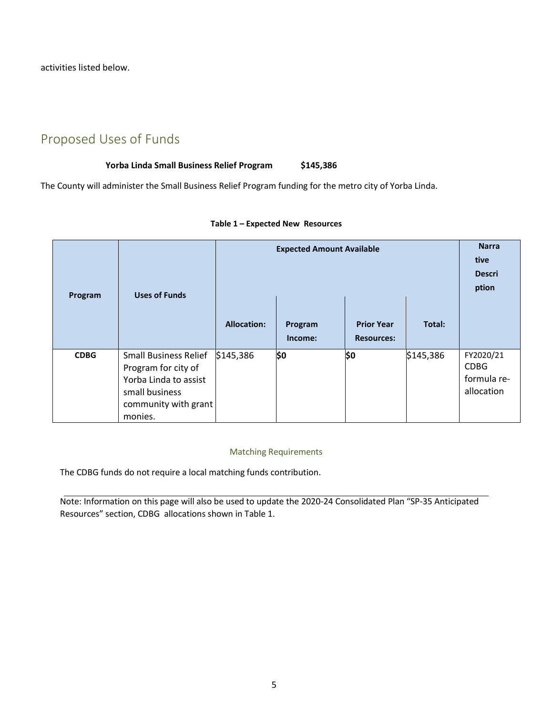<span id="page-6-0"></span>activities listed below.

### Proposed Uses of Funds

#### **Yorba Linda Small Business Relief Program \$145,386**

The County will administer the Small Business Relief Program funding for the metro city of Yorba Linda.

| Program     | <b>Uses of Funds</b>                                                                                                              | <b>Expected Amount Available</b> |                    |                                        | <b>Narra</b><br>tive<br><b>Descri</b><br>ption |                                                       |
|-------------|-----------------------------------------------------------------------------------------------------------------------------------|----------------------------------|--------------------|----------------------------------------|------------------------------------------------|-------------------------------------------------------|
|             |                                                                                                                                   | <b>Allocation:</b>               | Program<br>Income: | <b>Prior Year</b><br><b>Resources:</b> | Total:                                         |                                                       |
| <b>CDBG</b> | <b>Small Business Relief</b><br>Program for city of<br>Yorba Linda to assist<br>small business<br>community with grant<br>monies. | \$145,386                        | \$0                | \$0                                    | \$145,386                                      | FY2020/21<br><b>CDBG</b><br>formula re-<br>allocation |

#### **Table 1 – Expected New Resources**

#### Matching Requirements

<span id="page-6-1"></span>The CDBG funds do not require a local matching funds contribution.

Note: Information on this page will also be used to update the 2020-24 Consolidated Plan "SP-35 Anticipated Resources" section, CDBG allocations shown in Table 1.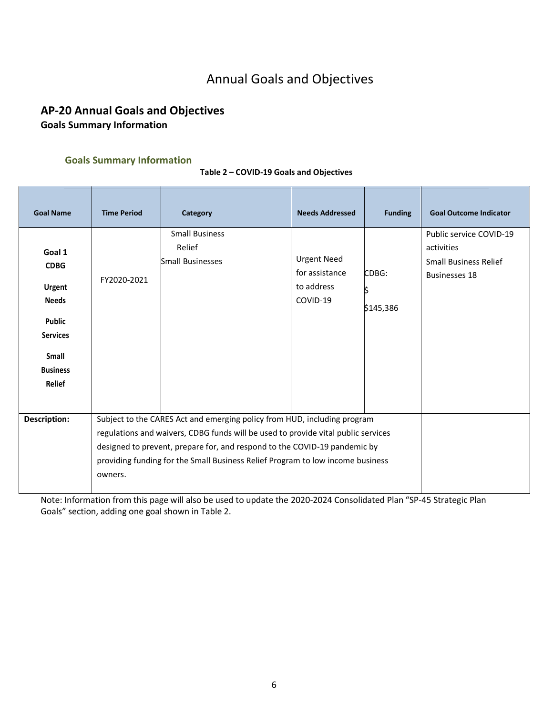## Annual Goals and Objectives

### <span id="page-7-0"></span>**AP-20 Annual Goals and Objectives Goals Summary Information**

## **Goals Summary Information**

| <b>Goal Name</b>                                                                                                                 | <b>Time Period</b>                                                                                                                                                                                                                                                                                                                      | Category                                                   |  | <b>Needs Addressed</b>                                         | <b>Funding</b>     | <b>Goal Outcome Indicator</b>                                                                 |
|----------------------------------------------------------------------------------------------------------------------------------|-----------------------------------------------------------------------------------------------------------------------------------------------------------------------------------------------------------------------------------------------------------------------------------------------------------------------------------------|------------------------------------------------------------|--|----------------------------------------------------------------|--------------------|-----------------------------------------------------------------------------------------------|
| Goal 1<br><b>CDBG</b><br>Urgent<br><b>Needs</b><br><b>Public</b><br><b>Services</b><br>Small<br><b>Business</b><br><b>Relief</b> | FY2020-2021                                                                                                                                                                                                                                                                                                                             | <b>Small Business</b><br>Relief<br><b>Small Businesses</b> |  | <b>Urgent Need</b><br>for assistance<br>to address<br>COVID-19 | CDBG:<br>\$145,386 | Public service COVID-19<br>activities<br><b>Small Business Relief</b><br><b>Businesses 18</b> |
| <b>Description:</b>                                                                                                              | Subject to the CARES Act and emerging policy from HUD, including program<br>regulations and waivers, CDBG funds will be used to provide vital public services<br>designed to prevent, prepare for, and respond to the COVID-19 pandemic by<br>providing funding for the Small Business Relief Program to low income business<br>owners. |                                                            |  |                                                                |                    |                                                                                               |

**Table 2 – COVID-19 Goals and Objectives**

Note: Information from this page will also be used to update the 2020-2024 Consolidated Plan "SP-45 Strategic Plan Goals" section, adding one goal shown in Table 2.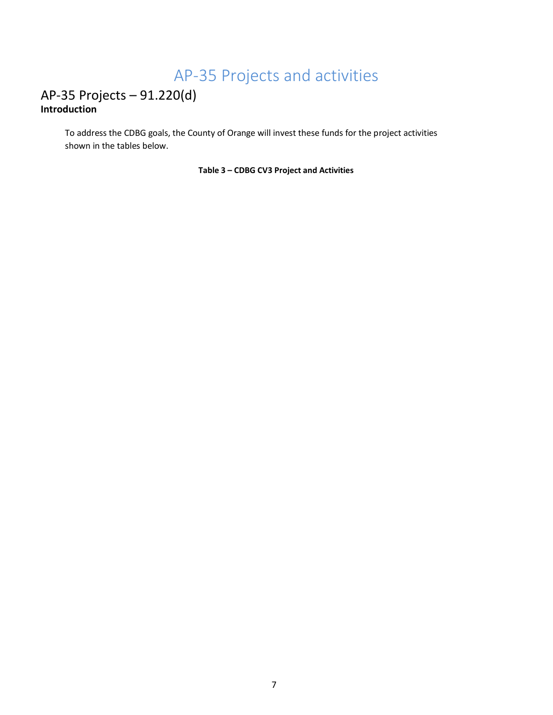## AP-35 Projects and activities

### <span id="page-8-0"></span>AP-35 Projects – 91.220(d) **Introduction**

To address the CDBG goals, the County of Orange will invest these funds for the project activities shown in the tables below.

**Table 3 – CDBG CV3 Project and Activities**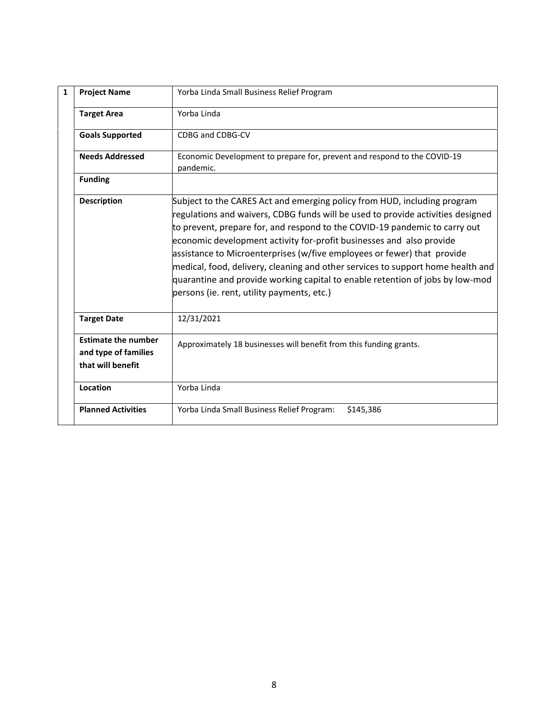| 1 | <b>Project Name</b>                                                     | Yorba Linda Small Business Relief Program                                                                                                                                                                                                                                                                                                                                                                                                                                                                                                                                                                      |
|---|-------------------------------------------------------------------------|----------------------------------------------------------------------------------------------------------------------------------------------------------------------------------------------------------------------------------------------------------------------------------------------------------------------------------------------------------------------------------------------------------------------------------------------------------------------------------------------------------------------------------------------------------------------------------------------------------------|
|   | <b>Target Area</b>                                                      | Yorba Linda                                                                                                                                                                                                                                                                                                                                                                                                                                                                                                                                                                                                    |
|   | <b>Goals Supported</b>                                                  | CDBG and CDBG-CV                                                                                                                                                                                                                                                                                                                                                                                                                                                                                                                                                                                               |
|   | <b>Needs Addressed</b>                                                  | Economic Development to prepare for, prevent and respond to the COVID-19<br>pandemic.                                                                                                                                                                                                                                                                                                                                                                                                                                                                                                                          |
|   | <b>Funding</b>                                                          |                                                                                                                                                                                                                                                                                                                                                                                                                                                                                                                                                                                                                |
|   | <b>Description</b>                                                      | Subject to the CARES Act and emerging policy from HUD, including program<br>regulations and waivers, CDBG funds will be used to provide activities designed<br>to prevent, prepare for, and respond to the COVID-19 pandemic to carry out<br>economic development activity for-profit businesses and also provide<br>assistance to Microenterprises (w/five employees or fewer) that provide<br>medical, food, delivery, cleaning and other services to support home health and<br>quarantine and provide working capital to enable retention of jobs by low-mod<br>persons (ie. rent, utility payments, etc.) |
|   | <b>Target Date</b>                                                      | 12/31/2021                                                                                                                                                                                                                                                                                                                                                                                                                                                                                                                                                                                                     |
|   | <b>Estimate the number</b><br>and type of families<br>that will benefit | Approximately 18 businesses will benefit from this funding grants.                                                                                                                                                                                                                                                                                                                                                                                                                                                                                                                                             |
|   | Location                                                                | Yorba Linda                                                                                                                                                                                                                                                                                                                                                                                                                                                                                                                                                                                                    |
|   | <b>Planned Activities</b>                                               | Yorba Linda Small Business Relief Program:<br>\$145,386                                                                                                                                                                                                                                                                                                                                                                                                                                                                                                                                                        |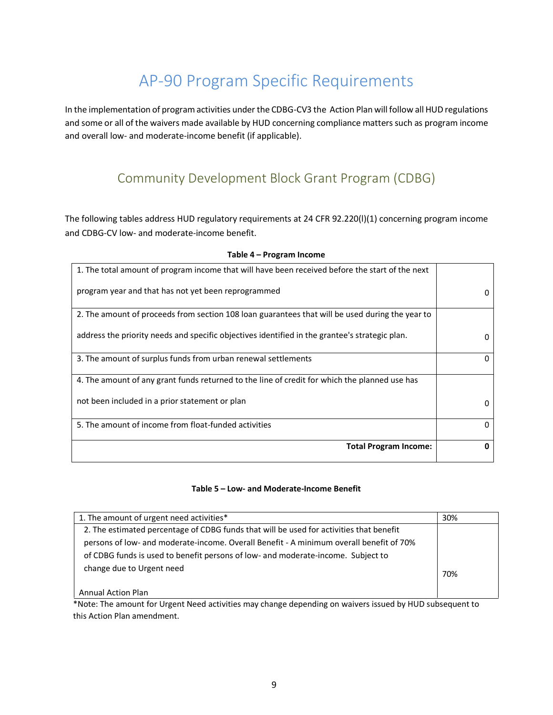## AP-90 Program Specific Requirements

<span id="page-10-0"></span>In the implementation of program activities under the CDBG-CV3 the Action Plan will follow all HUD regulations and some or all of the waivers made available by HUD concerning compliance matters such as program income and overall low- and moderate-income benefit (if applicable).

### Community Development Block Grant Program (CDBG)

The following tables address HUD regulatory requirements at 24 CFR 92.220(l)(1) concerning program income and CDBG-CV low- and moderate-income benefit.

| 1. The total amount of program income that will have been received before the start of the next |              |
|-------------------------------------------------------------------------------------------------|--------------|
| program year and that has not yet been reprogrammed                                             | $\Omega$     |
| 2. The amount of proceeds from section 108 loan guarantees that will be used during the year to |              |
| address the priority needs and specific objectives identified in the grantee's strategic plan.  | $\mathbf{0}$ |
| 3. The amount of surplus funds from urban renewal settlements                                   |              |
| 4. The amount of any grant funds returned to the line of credit for which the planned use has   |              |
| not been included in a prior statement or plan                                                  | O            |
| 5. The amount of income from float-funded activities                                            | <sup>0</sup> |
| <b>Total Program Income:</b>                                                                    |              |

#### **Table 4 – Program Income**

#### **Table 5 – Low- and Moderate-Income Benefit**

| 1. The amount of urgent need activities*                                                | 30% |
|-----------------------------------------------------------------------------------------|-----|
| 2. The estimated percentage of CDBG funds that will be used for activities that benefit |     |
| persons of low- and moderate-income. Overall Benefit - A minimum overall benefit of 70% |     |
| of CDBG funds is used to benefit persons of low- and moderate-income. Subject to        |     |
| change due to Urgent need                                                               | 70% |
| <b>Annual Action Plan</b>                                                               |     |

\*Note: The amount for Urgent Need activities may change depending on waivers issued by HUD subsequent to this Action Plan amendment.